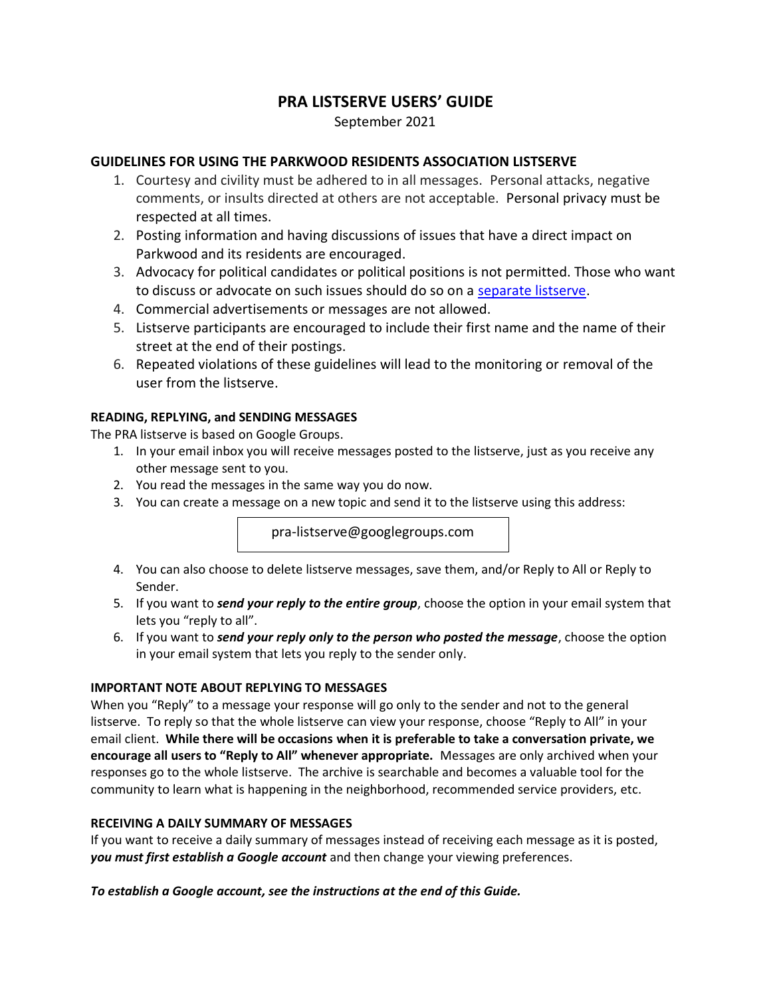# **PRA LISTSERVE USERS' GUIDE**

September 2021

### **GUIDELINES FOR USING THE PARKWOOD RESIDENTS ASSOCIATION LISTSERVE**

- 1. Courtesy and civility must be adhered to in all messages. Personal attacks, negative comments, or insults directed at others are not acceptable. Personal privacy must be respected at all times.
- 2. Posting information and having discussions of issues that have a direct impact on Parkwood and its residents are encouraged.
- 3. Advocacy for political candidates or political positions is not permitted. Those who want to discuss or advocate on such issues should do so on a [separate listserve.](https://support.google.com/groups/answer/2464926?hl=en)
- 4. Commercial advertisements or messages are not allowed.
- 5. Listserve participants are encouraged to include their first name and the name of their street at the end of their postings.
- 6. Repeated violations of these guidelines will lead to the monitoring or removal of the user from the listserve.

### **READING, REPLYING, and SENDING MESSAGES**

The PRA listserve is based on Google Groups.

- 1. In your email inbox you will receive messages posted to the listserve, just as you receive any other message sent to you.
- 2. You read the messages in the same way you do now.
- 3. You can create a message on a new topic and send it to the listserve using this address:

pra-listserve@googlegroups.com

- 4. You can also choose to delete listserve messages, save them, and/or Reply to All or Reply to Sender.
- 5. If you want to *send your reply to the entire group*, choose the option in your email system that lets you "reply to all".
- 6. If you want to *send your reply only to the person who posted the message*, choose the option in your email system that lets you reply to the sender only.

### **IMPORTANT NOTE ABOUT REPLYING TO MESSAGES**

When you "Reply" to a message your response will go only to the sender and not to the general listserve. To reply so that the whole listserve can view your response, choose "Reply to All" in your email client. **While there will be occasions when it is preferable to take a conversation private, we encourage all users to "Reply to All" whenever appropriate.** Messages are only archived when your responses go to the whole listserve. The archive is searchable and becomes a valuable tool for the community to learn what is happening in the neighborhood, recommended service providers, etc.

### **RECEIVING A DAILY SUMMARY OF MESSAGES**

If you want to receive a daily summary of messages instead of receiving each message as it is posted, *you must first establish a Google account* and then change your viewing preferences.

*To establish a Google account, see the instructions at the end of this Guide.*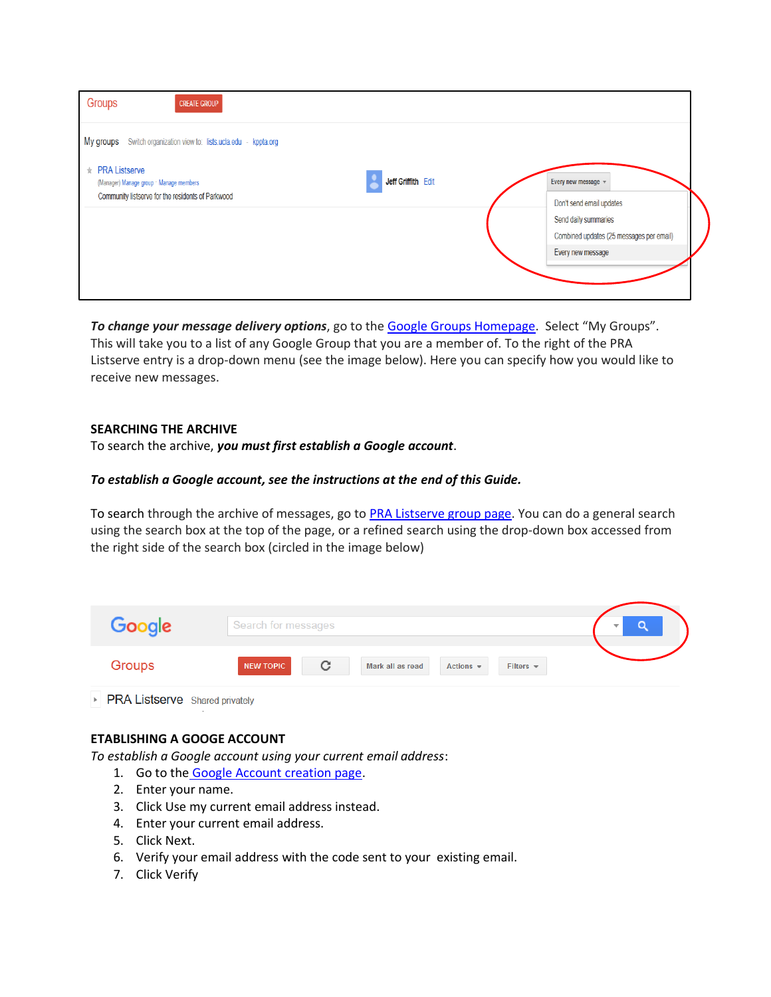| Groups<br><b>CREATE GROUP</b>                                                                                         |                    |                                                  |
|-----------------------------------------------------------------------------------------------------------------------|--------------------|--------------------------------------------------|
| My groups<br>Switch organization view to: lists.ucla.edu - kppta.org                                                  |                    |                                                  |
| $\star$ PRA Listserve<br>(Manager) Manage group · Manage members<br>Community listserve for the residents of Parkwood | Jeff Griffith Edit | Every new message                                |
|                                                                                                                       |                    | Don't send email updates<br>Send daily summaries |
|                                                                                                                       |                    | Combined updates (25 messages per email)         |
|                                                                                                                       |                    | Every new message                                |
|                                                                                                                       |                    |                                                  |
|                                                                                                                       |                    |                                                  |

*To change your message delivery options*, go to the [Google Groups Homepage.](https://groups.google.com/forum/#!overview) Select "My Groups". This will take you to a list of any Google Group that you are a member of. To the right of the PRA Listserve entry is a drop-down menu (see the image below). Here you can specify how you would like to receive new messages.

### **SEARCHING THE ARCHIVE**

To search the archive, *you must first establish a Google account*.

#### *To establish a Google account, see the instructions at the end of this Guide.*

To search through the archive of messages, go t[o PRA Listserve group page.](https://groups.google.com/forum/#!forum/pra-listserve) You can do a general search using the search box at the top of the page, or a refined search using the drop-down box accessed from the right side of the search box (circled in the image below)

| Google | Search for messages                                         | O<br>$\overline{\phantom{a}}$ |
|--------|-------------------------------------------------------------|-------------------------------|
| Groups | С<br><b>NEW TOPIC</b><br>Actions $\sim$<br>Mark all as read | Filters $\equiv$              |

PRA Listserve Shared privately

#### **ETABLISHING A GOOGE ACCOUNT**

*To establish a Google account using your current email address*:

- 1. Go to the [Google Account creation page.](https://accounts.google.com/signup/v2/webcreateaccount?flowName=GlifWebSignIn&flowEntry=SignUp)
- 2. Enter your name.
- 3. Click Use my current email address instead.
- 4. Enter your current email address.
- 5. Click Next.
- 6. Verify your email address with the code sent to your existing email.
- 7. Click Verify